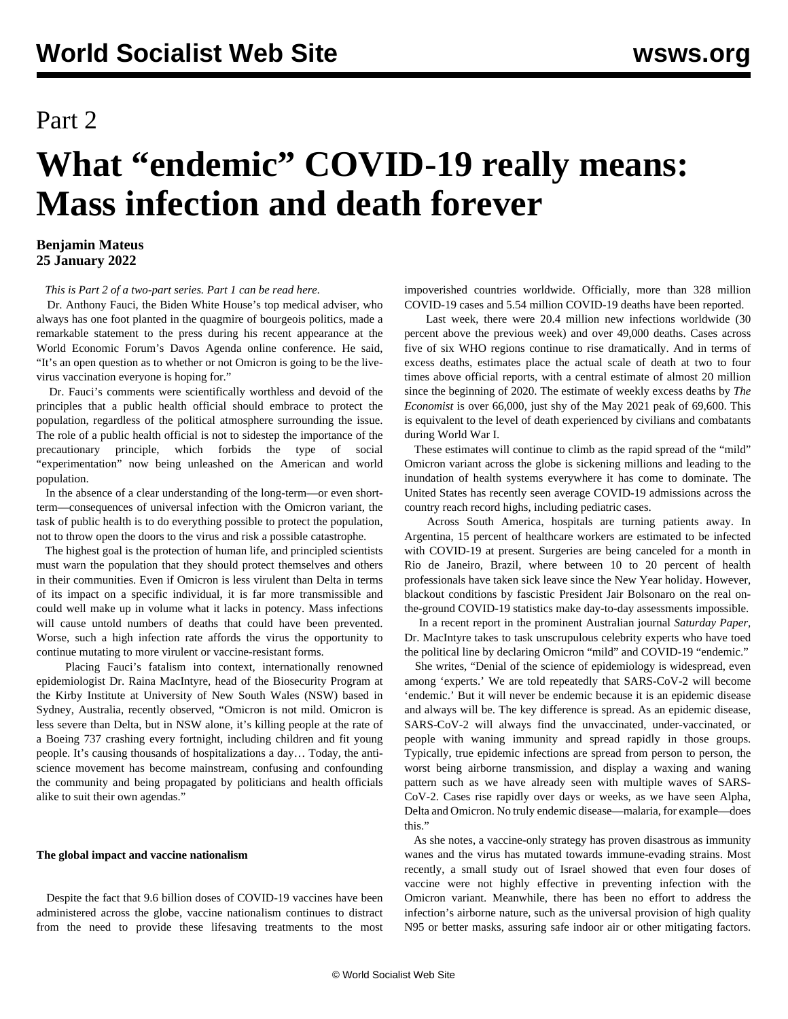## Part 2

# **What "endemic" COVID-19 really means: Mass infection and death forever**

#### **Benjamin Mateus 25 January 2022**

*This is Part 2 of a two-part series. [Part 1 can be read here.](/en/articles/2022/01/25/end1-j25.html)*

 Dr. Anthony Fauci, the Biden White House's top medical adviser, who always has one foot planted in the quagmire of bourgeois politics, made a remarkable statement to the press during his recent appearance at the World Economic Forum's Davos Agenda online conference. He said, "It's an open question as to whether or not Omicron is going to be the livevirus vaccination everyone is hoping for."

 Dr. Fauci's comments were scientifically worthless and devoid of the principles that a public health official should embrace to protect the population, regardless of the political atmosphere surrounding the issue. The role of a public health official is not to sidestep the importance of the precautionary principle, which forbids the type of social "experimentation" now being unleashed on the American and world population.

 In the absence of a clear understanding of the long-term—or even shortterm—consequences of universal infection with the Omicron variant, the task of public health is to do everything possible to protect the population, not to throw open the doors to the virus and risk a possible catastrophe.

 The highest goal is the protection of human life, and principled scientists must warn the population that they should protect themselves and others in their communities. Even if Omicron is less virulent than Delta in terms of its impact on a specific individual, it is far more transmissible and could well make up in volume what it lacks in potency. Mass infections will cause untold numbers of deaths that could have been prevented. Worse, such a high infection rate affords the virus the opportunity to continue mutating to more virulent or vaccine-resistant forms.

 Placing Fauci's fatalism into context, internationally renowned epidemiologist Dr. Raina [MacIntyre,](https://www.croakey.org/amid-cascading-failures-where-is-the-leadership/) head of the Biosecurity Program at the Kirby Institute at University of New South Wales (NSW) based in Sydney, Australia, recently observed, "Omicron is not mild. Omicron is less severe than Delta, but in NSW alone, it's killing people at the rate of a Boeing 737 crashing every fortnight, including children and fit young people. It's causing thousands of hospitalizations a day… Today, the antiscience movement has become mainstream, confusing and confounding the community and being propagated by politicians and health officials alike to suit their own agendas."

#### **The global impact and vaccine nationalism**

 Despite the fact that 9.6 billion doses of COVID-19 vaccines have been administered across the globe, vaccine nationalism continues to distract from the need to provide these lifesaving treatments to the most impoverished countries worldwide. Officially, more than 328 million COVID-19 cases and 5.54 million COVID-19 deaths have been reported.

 Last week, there were 20.4 million new infections worldwide (30 percent above the previous week) and over 49,000 deaths. Cases across five of six WHO regions continue to rise dramatically. And in terms of excess deaths, estimates place the actual scale of death at two to four times above official reports, with a central estimate of almost 20 million since the beginning of 2020. The estimate of weekly excess deaths by *The Economist* is over 66,000, just shy of the May 2021 peak of 69,600. This is equivalent to the level of death experienced by civilians and combatants during World War I.

 These estimates will continue to climb as the rapid spread of the "mild" Omicron variant across the globe is sickening millions and leading to the inundation of health systems everywhere it has come to dominate. The United States has recently seen average COVID-19 admissions across the country reach record highs, including pediatric cases.

 Across South America, hospitals are turning patients away. In Argentina, 15 percent of healthcare workers are estimated to be infected with COVID-19 at present. Surgeries are being canceled for a month in Rio de Janeiro, Brazil, where between 10 to 20 percent of health professionals have taken sick leave since the New Year holiday. However, blackout conditions by fascistic President Jair Bolsonaro on the real onthe-ground COVID-19 statistics make day-to-day assessments impossible.

 In a recent report in the prominent Australian journal *Saturday Paper*, Dr. MacIntyre takes to task unscrupulous celebrity experts who have toed the political line by declaring Omicron "mild" and COVID-19 "endemic."

 She writes, "Denial of the science of epidemiology is widespread, even among 'experts.' We are told repeatedly that SARS-CoV-2 will become 'endemic.' But it will never be endemic because it is an epidemic disease and always will be. The key difference is spread. As an epidemic disease, SARS-CoV-2 will always find the unvaccinated, under-vaccinated, or people with waning immunity and spread rapidly in those groups. Typically, true epidemic infections are spread from person to person, the worst being airborne transmission, and display a waxing and waning pattern such as we have already seen with multiple waves of SARS-CoV-2. Cases rise rapidly over days or weeks, as we have seen Alpha, Delta and Omicron. No truly endemic disease—malaria, for example—does this."

 As she notes, a vaccine-only strategy has proven disastrous as immunity wanes and the virus has mutated towards immune-evading strains. Most recently, a small study out of Israel showed that even four doses of vaccine were not highly effective in preventing infection with the Omicron variant. Meanwhile, there has been no effort to address the infection's airborne nature, such as the universal provision of high quality N95 or better masks, assuring safe indoor air or other mitigating factors.